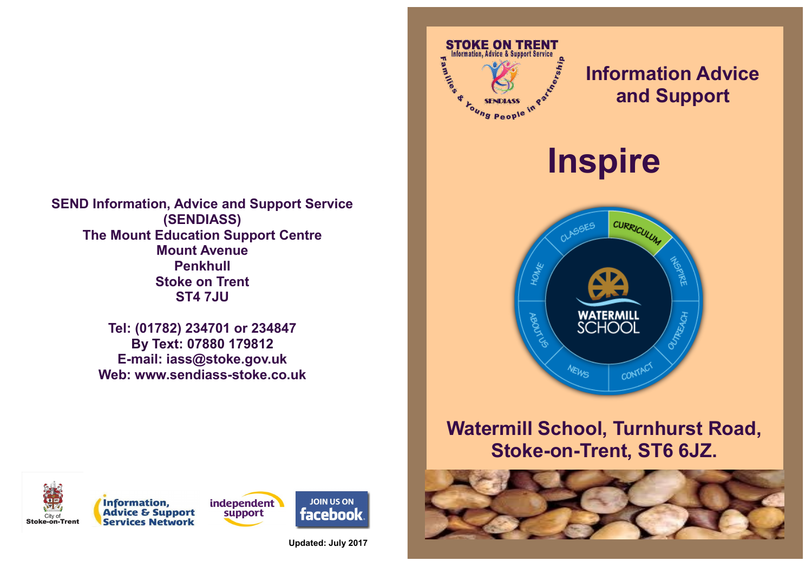**SEND Information, Advice and Support Service (SENDIASS) The Mount Education Support Centre Mount Avenue Penkhull Stoke on Trent ST4 7JU**

> **Tel: (01782) 234701 or 234847 By Text: 07880 179812 E-mail: iass@stoke.gov.uk Web: www.sendiass-stoke.co.uk**



# **Information Advice and Support**

**Inspire**



## **Watermill School, Turnhurst Road, Stoke-on-Trent, ST6 6JZ.**







**JOIN US ON facebook** 

**Updated: July 2017**